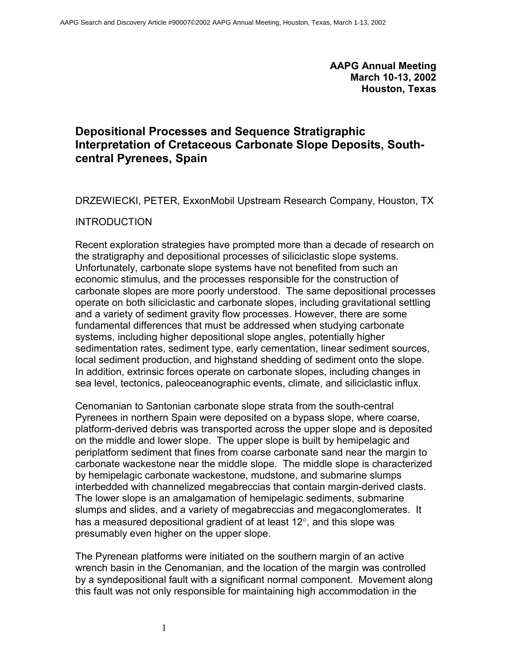**AAPG Annual Meeting March 10-13, 2002 Houston, Texas** 

# **Depositional Processes and Sequence Stratigraphic Interpretation of Cretaceous Carbonate Slope Deposits, Southcentral Pyrenees, Spain**

DRZEWIECKI, PETER, ExxonMobil Upstream Research Company, Houston, TX

#### INTRODUCTION

Recent exploration strategies have prompted more than a decade of research on the stratigraphy and depositional processes of siliciclastic slope systems. Unfortunately, carbonate slope systems have not benefited from such an economic stimulus, and the processes responsible for the construction of carbonate slopes are more poorly understood. The same depositional processes operate on both siliciclastic and carbonate slopes, including gravitational settling and a variety of sediment gravity flow processes. However, there are some fundamental differences that must be addressed when studying carbonate systems, including higher depositional slope angles, potentially higher sedimentation rates, sediment type, early cementation, linear sediment sources, local sediment production, and highstand shedding of sediment onto the slope. In addition, extrinsic forces operate on carbonate slopes, including changes in sea level, tectonics, paleoceanographic events, climate, and siliciclastic influx.

Cenomanian to Santonian carbonate slope strata from the south-central Pyrenees in northern Spain were deposited on a bypass slope, where coarse, platform-derived debris was transported across the upper slope and is deposited on the middle and lower slope. The upper slope is built by hemipelagic and periplatform sediment that fines from coarse carbonate sand near the margin to carbonate wackestone near the middle slope. The middle slope is characterized by hemipelagic carbonate wackestone, mudstone, and submarine slumps interbedded with channelized megabreccias that contain margin-derived clasts. The lower slope is an amalgamation of hemipelagic sediments, submarine slumps and slides, and a variety of megabreccias and megaconglomerates. It has a measured depositional gradient of at least 12°, and this slope was presumably even higher on the upper slope.

The Pyrenean platforms were initiated on the southern margin of an active wrench basin in the Cenomanian, and the location of the margin was controlled by a syndepositional fault with a significant normal component. Movement along this fault was not only responsible for maintaining high accommodation in the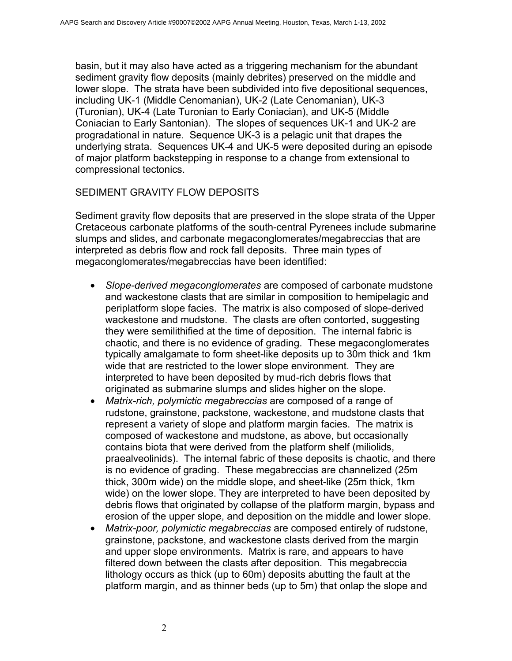basin, but it may also have acted as a triggering mechanism for the abundant sediment gravity flow deposits (mainly debrites) preserved on the middle and lower slope. The strata have been subdivided into five depositional sequences, including UK-1 (Middle Cenomanian), UK-2 (Late Cenomanian), UK-3 (Turonian), UK-4 (Late Turonian to Early Coniacian), and UK-5 (Middle Coniacian to Early Santonian). The slopes of sequences UK-1 and UK-2 are progradational in nature. Sequence UK-3 is a pelagic unit that drapes the underlying strata. Sequences UK-4 and UK-5 were deposited during an episode of major platform backstepping in response to a change from extensional to compressional tectonics.

#### SEDIMENT GRAVITY FLOW DEPOSITS

Sediment gravity flow deposits that are preserved in the slope strata of the Upper Cretaceous carbonate platforms of the south-central Pyrenees include submarine slumps and slides, and carbonate megaconglomerates/megabreccias that are interpreted as debris flow and rock fall deposits. Three main types of megaconglomerates/megabreccias have been identified:

- *Slope-derived megaconglomerates* are composed of carbonate mudstone and wackestone clasts that are similar in composition to hemipelagic and periplatform slope facies. The matrix is also composed of slope-derived wackestone and mudstone. The clasts are often contorted, suggesting they were semilithified at the time of deposition. The internal fabric is chaotic, and there is no evidence of grading. These megaconglomerates typically amalgamate to form sheet-like deposits up to 30m thick and 1km wide that are restricted to the lower slope environment. They are interpreted to have been deposited by mud-rich debris flows that originated as submarine slumps and slides higher on the slope.
- *Matrix-rich, polymictic megabreccias* are composed of a range of rudstone, grainstone, packstone, wackestone, and mudstone clasts that represent a variety of slope and platform margin facies. The matrix is composed of wackestone and mudstone, as above, but occasionally contains biota that were derived from the platform shelf (miliolids, praealveolinids). The internal fabric of these deposits is chaotic, and there is no evidence of grading. These megabreccias are channelized (25m thick, 300m wide) on the middle slope, and sheet-like (25m thick, 1km wide) on the lower slope. They are interpreted to have been deposited by debris flows that originated by collapse of the platform margin, bypass and erosion of the upper slope, and deposition on the middle and lower slope.
- *Matrix-poor, polymictic megabreccias* are composed entirely of rudstone, grainstone, packstone, and wackestone clasts derived from the margin and upper slope environments. Matrix is rare, and appears to have filtered down between the clasts after deposition. This megabreccia lithology occurs as thick (up to 60m) deposits abutting the fault at the platform margin, and as thinner beds (up to 5m) that onlap the slope and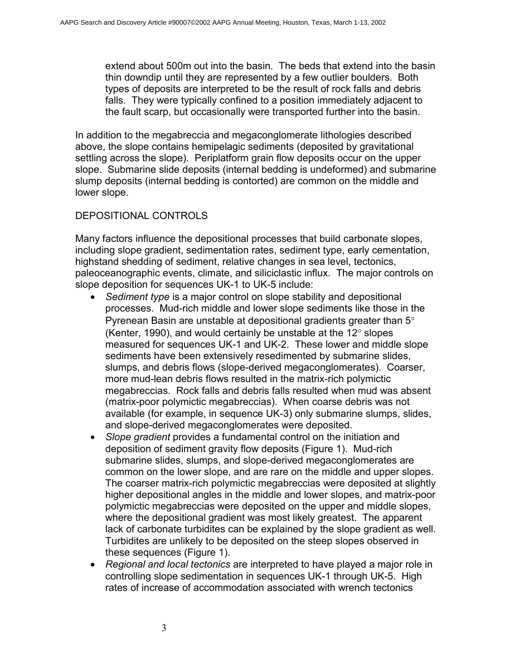extend about 500m out into the basin. The beds that extend into the basin thin downdip until they are represented by a few outlier boulders. Both types of deposits are interpreted to be the result of rock falls and debris falls. They were typically confined to a position immediately adjacent to the fault scarp, but occasionally were transported further into the basin.

In addition to the megabreccia and megaconglomerate lithologies described above, the slope contains hemipelagic sediments (deposited by gravitational settling across the slope). Periplatform grain flow deposits occur on the upper slope. Submarine slide deposits (internal bedding is undeformed) and submarine slump deposits (internal bedding is contorted) are common on the middle and lower slope.

## DEPOSITIONAL CONTROLS

Many factors influence the depositional processes that build carbonate slopes, including slope gradient, sedimentation rates, sediment type, early cementation, highstand shedding of sediment, relative changes in sea level, tectonics, paleoceanographic events, climate, and siliciclastic influx. The major controls on slope deposition for sequences UK-1 to UK-5 include:

- *Sediment type* is a major control on slope stability and depositional processes. Mud-rich middle and lower slope sediments like those in the Pyrenean Basin are unstable at depositional gradients greater than 5° (Kenter, 1990), and would certainly be unstable at the 12° slopes measured for sequences UK-1 and UK-2. These lower and middle slope sediments have been extensively resedimented by submarine slides, slumps, and debris flows (slope-derived megaconglomerates). Coarser, more mud-lean debris flows resulted in the matrix-rich polymictic megabreccias. Rock falls and debris falls resulted when mud was absent (matrix-poor polymictic megabreccias). When coarse debris was not available (for example, in sequence UK-3) only submarine slumps, slides, and slope-derived megaconglomerates were deposited.
- *Slope gradient* provides a fundamental control on the initiation and deposition of sediment gravity flow deposits (Figure 1). Mud-rich submarine slides, slumps, and slope-derived megaconglomerates are common on the lower slope, and are rare on the middle and upper slopes. The coarser matrix-rich polymictic megabreccias were deposited at slightly higher depositional angles in the middle and lower slopes, and matrix-poor polymictic megabreccias were deposited on the upper and middle slopes, where the depositional gradient was most likely greatest. The apparent lack of carbonate turbidites can be explained by the slope gradient as well. Turbidites are unlikely to be deposited on the steep slopes observed in these sequences (Figure 1).
- *Regional and local tectonics* are interpreted to have played a major role in controlling slope sedimentation in sequences UK-1 through UK-5. High rates of increase of accommodation associated with wrench tectonics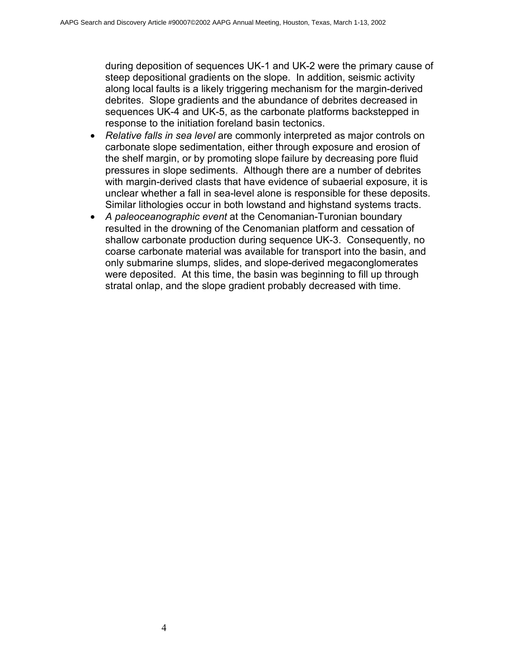during deposition of sequences UK-1 and UK-2 were the primary cause of steep depositional gradients on the slope. In addition, seismic activity along local faults is a likely triggering mechanism for the margin-derived debrites. Slope gradients and the abundance of debrites decreased in sequences UK-4 and UK-5, as the carbonate platforms backstepped in response to the initiation foreland basin tectonics.

- *Relative falls in sea level* are commonly interpreted as major controls on carbonate slope sedimentation, either through exposure and erosion of the shelf margin, or by promoting slope failure by decreasing pore fluid pressures in slope sediments. Although there are a number of debrites with margin-derived clasts that have evidence of subaerial exposure, it is unclear whether a fall in sea-level alone is responsible for these deposits. Similar lithologies occur in both lowstand and highstand systems tracts.
- *A paleoceanographic event* at the Cenomanian-Turonian boundary resulted in the drowning of the Cenomanian platform and cessation of shallow carbonate production during sequence UK-3. Consequently, no coarse carbonate material was available for transport into the basin, and only submarine slumps, slides, and slope-derived megaconglomerates were deposited. At this time, the basin was beginning to fill up through stratal onlap, and the slope gradient probably decreased with time.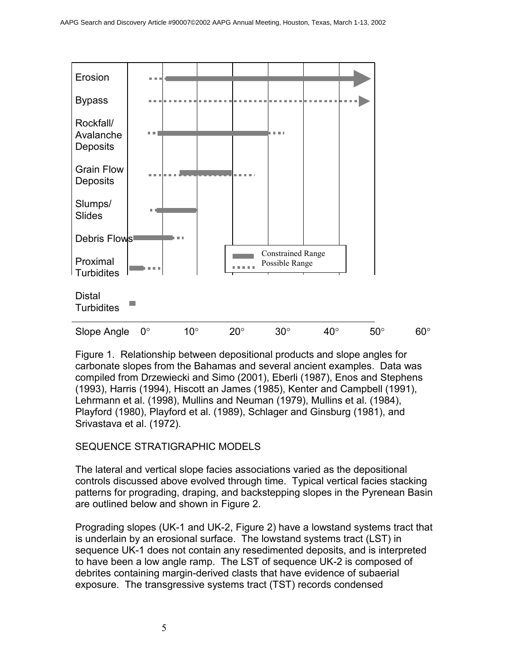

Figure 1. Relationship between depositional products and slope angles for carbonate slopes from the Bahamas and several ancient examples. Data was compiled from Drzewiecki and Simo (2001), Eberli (1987), Enos and Stephens (1993), Harris (1994), Hiscott an James (1985), Kenter and Campbell (1991), Lehrmann et al. (1998), Mullins and Neuman (1979), Mullins et al. (1984), Playford (1980), Playford et al. (1989), Schlager and Ginsburg (1981), and Srivastava et al. (1972).

## SEQUENCE STRATIGRAPHIC MODELS

The lateral and vertical slope facies associations varied as the depositional controls discussed above evolved through time. Typical vertical facies stacking patterns for prograding, draping, and backstepping slopes in the Pyrenean Basin are outlined below and shown in Figure 2.

Prograding slopes (UK-1 and UK-2, Figure 2) have a lowstand systems tract that is underlain by an erosional surface. The lowstand systems tract (LST) in sequence UK-1 does not contain any resedimented deposits, and is interpreted to have been a low angle ramp. The LST of sequence UK-2 is composed of debrites containing margin-derived clasts that have evidence of subaerial exposure. The transgressive systems tract (TST) records condensed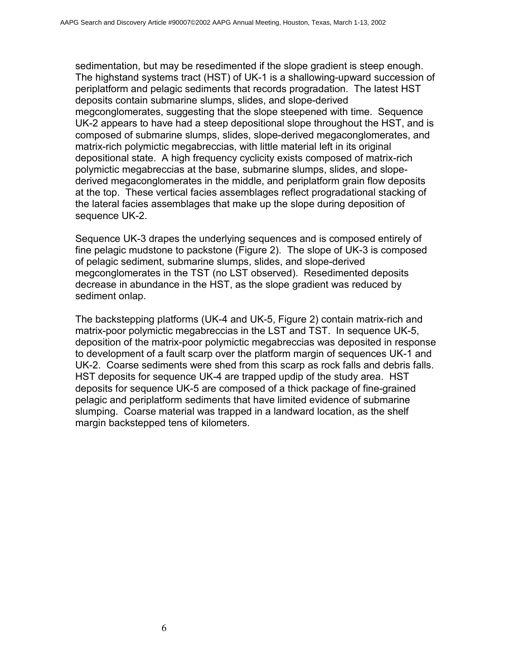sedimentation, but may be resedimented if the slope gradient is steep enough. The highstand systems tract (HST) of UK-1 is a shallowing-upward succession of periplatform and pelagic sediments that records progradation. The latest HST deposits contain submarine slumps, slides, and slope-derived megconglomerates, suggesting that the slope steepened with time. Sequence UK-2 appears to have had a steep depositional slope throughout the HST, and is composed of submarine slumps, slides, slope-derived megaconglomerates, and matrix-rich polymictic megabreccias, with little material left in its original depositional state. A high frequency cyclicity exists composed of matrix-rich polymictic megabreccias at the base, submarine slumps, slides, and slopederived megaconglomerates in the middle, and periplatform grain flow deposits at the top. These vertical facies assemblages reflect progradational stacking of the lateral facies assemblages that make up the slope during deposition of sequence UK-2.

Sequence UK-3 drapes the underlying sequences and is composed entirely of fine pelagic mudstone to packstone (Figure 2). The slope of UK-3 is composed of pelagic sediment, submarine slumps, slides, and slope-derived megconglomerates in the TST (no LST observed). Resedimented deposits decrease in abundance in the HST, as the slope gradient was reduced by sediment onlap.

The backstepping platforms (UK-4 and UK-5, Figure 2) contain matrix-rich and matrix-poor polymictic megabreccias in the LST and TST. In sequence UK-5, deposition of the matrix-poor polymictic megabreccias was deposited in response to development of a fault scarp over the platform margin of sequences UK-1 and UK-2. Coarse sediments were shed from this scarp as rock falls and debris falls. HST deposits for sequence UK-4 are trapped updip of the study area. HST deposits for sequence UK-5 are composed of a thick package of fine-grained pelagic and periplatform sediments that have limited evidence of submarine slumping. Coarse material was trapped in a landward location, as the shelf margin backstepped tens of kilometers.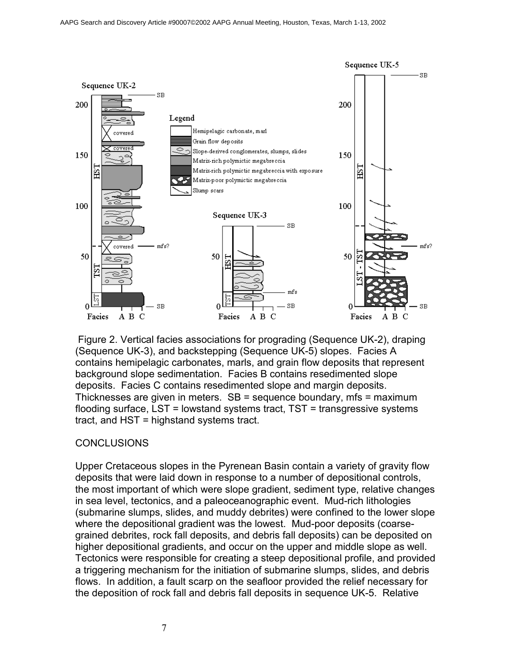

 Figure 2. Vertical facies associations for prograding (Sequence UK-2), draping (Sequence UK-3), and backstepping (Sequence UK-5) slopes. Facies A contains hemipelagic carbonates, marls, and grain flow deposits that represent background slope sedimentation. Facies B contains resedimented slope deposits. Facies C contains resedimented slope and margin deposits. Thicknesses are given in meters. SB = sequence boundary, mfs = maximum flooding surface, LST = lowstand systems tract, TST = transgressive systems tract, and HST = highstand systems tract.

#### **CONCLUSIONS**

Upper Cretaceous slopes in the Pyrenean Basin contain a variety of gravity flow deposits that were laid down in response to a number of depositional controls, the most important of which were slope gradient, sediment type, relative changes in sea level, tectonics, and a paleoceanographic event. Mud-rich lithologies (submarine slumps, slides, and muddy debrites) were confined to the lower slope where the depositional gradient was the lowest. Mud-poor deposits (coarsegrained debrites, rock fall deposits, and debris fall deposits) can be deposited on higher depositional gradients, and occur on the upper and middle slope as well. Tectonics were responsible for creating a steep depositional profile, and provided a triggering mechanism for the initiation of submarine slumps, slides, and debris flows. In addition, a fault scarp on the seafloor provided the relief necessary for the deposition of rock fall and debris fall deposits in sequence UK-5. Relative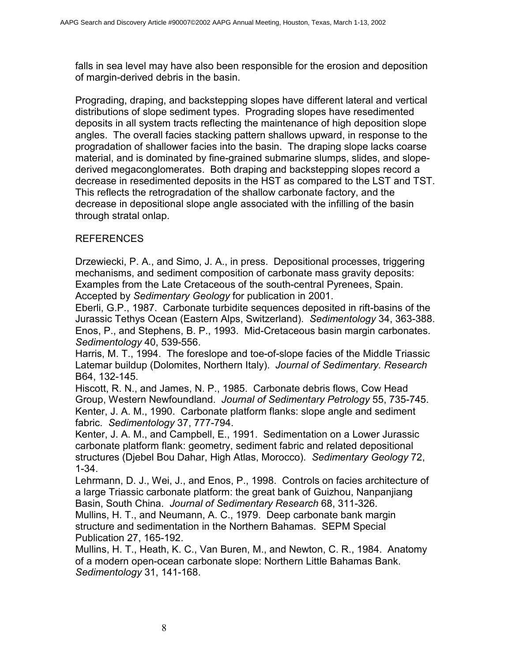falls in sea level may have also been responsible for the erosion and deposition of margin-derived debris in the basin.

Prograding, draping, and backstepping slopes have different lateral and vertical distributions of slope sediment types. Prograding slopes have resedimented deposits in all system tracts reflecting the maintenance of high deposition slope angles. The overall facies stacking pattern shallows upward, in response to the progradation of shallower facies into the basin. The draping slope lacks coarse material, and is dominated by fine-grained submarine slumps, slides, and slopederived megaconglomerates. Both draping and backstepping slopes record a decrease in resedimented deposits in the HST as compared to the LST and TST. This reflects the retrogradation of the shallow carbonate factory, and the decrease in depositional slope angle associated with the infilling of the basin through stratal onlap.

## REFERENCES

Drzewiecki, P. A., and Simo, J. A., in press. Depositional processes, triggering mechanisms, and sediment composition of carbonate mass gravity deposits: Examples from the Late Cretaceous of the south-central Pyrenees, Spain. Accepted by *Sedimentary Geology* for publication in 2001.

Eberli, G.P., 1987. Carbonate turbidite sequences deposited in rift-basins of the Jurassic Tethys Ocean (Eastern Alps, Switzerland). *Sedimentology* 34, 363-388. Enos, P., and Stephens, B. P., 1993. Mid-Cretaceous basin margin carbonates. *Sedimentology* 40, 539-556.

Harris, M. T., 1994. The foreslope and toe-of-slope facies of the Middle Triassic Latemar buildup (Dolomites, Northern Italy). *Journal of Sedimentary. Research* B64, 132-145.

Hiscott, R. N., and James, N. P., 1985. Carbonate debris flows, Cow Head Group, Western Newfoundland. *Journal of Sedimentary Petrology* 55, 735-745. Kenter, J. A. M., 1990. Carbonate platform flanks: slope angle and sediment fabric. *Sedimentology* 37, 777-794.

Kenter, J. A. M., and Campbell, E., 1991. Sedimentation on a Lower Jurassic carbonate platform flank: geometry, sediment fabric and related depositional structures (Djebel Bou Dahar, High Atlas, Morocco). *Sedimentary Geology* 72, 1-34.

Lehrmann, D. J., Wei, J., and Enos, P., 1998. Controls on facies architecture of a large Triassic carbonate platform: the great bank of Guizhou, Nanpanjiang Basin, South China. *Journal of Sedimentary Research* 68, 311-326.

Mullins, H. T., and Neumann, A. C., 1979. Deep carbonate bank margin structure and sedimentation in the Northern Bahamas. SEPM Special Publication 27, 165-192.

Mullins, H. T., Heath, K. C., Van Buren, M., and Newton, C. R., 1984. Anatomy of a modern open-ocean carbonate slope: Northern Little Bahamas Bank. *Sedimentology* 31, 141-168.